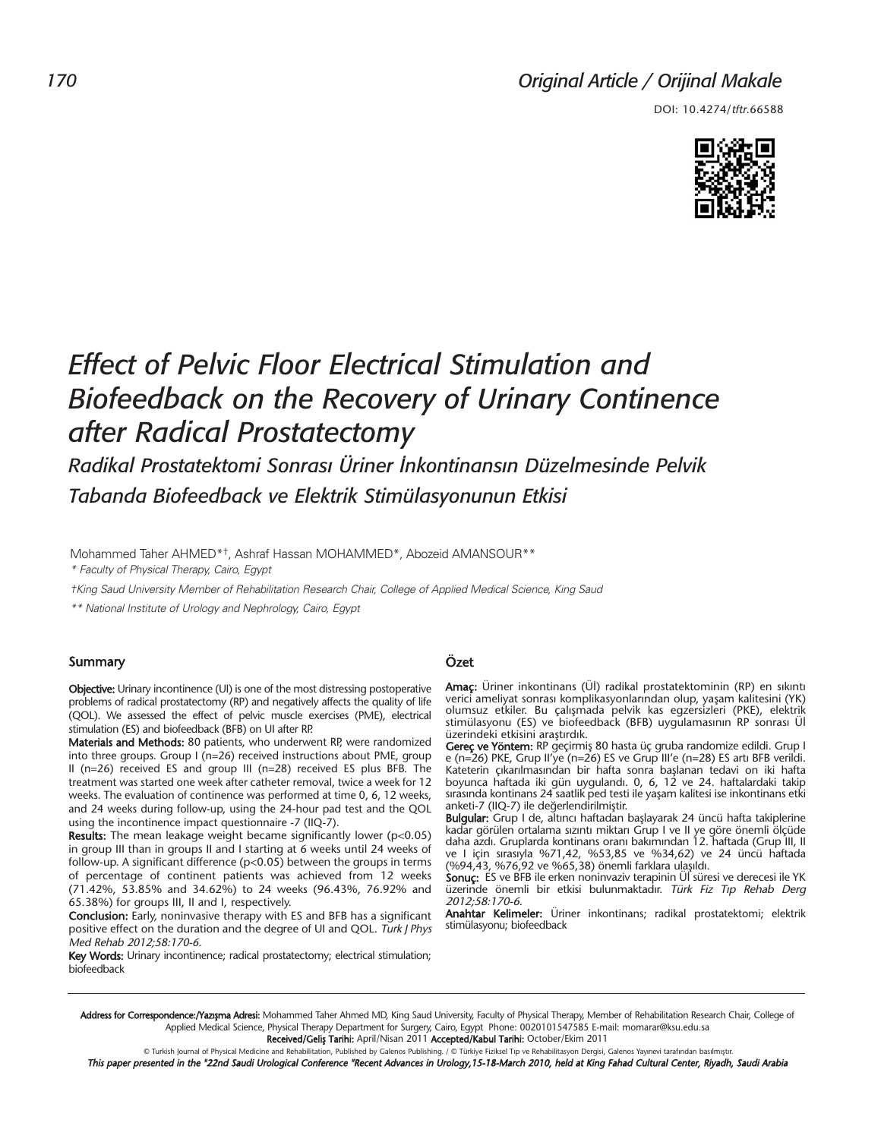# *Original Article / Orijinal Makale*

DOI: 10.4274/tftr.66588



# *Effect of Pelvic Floor Electrical Stimulation and Biofeedback on the Recovery of Urinary Continence after Radical Prostatectomy*

*Radikal Prostatektomi Sonrası Üriner İnkontinansın Düzelmesinde Pelvik Tabanda Biofeedback ve Elektrik Stimülasyonunun Etkisi*

Mohammed Taher AHMED\*†, Ashraf Hassan MOHAMMED\*, Abozeid AMANSOUR\*\* \* Faculty of Physical Therapy, Cairo, Egypt

†King Saud University Member of Rehabilitation Research Chair, College of Applied Medical Science, King Saud

\*\* National Institute of Urology and Nephrology, Cairo, Egypt

#### Summary

Objective: Urinary incontinence (UI) is one of the most distressing postoperative problems of radical prostatectomy (RP) and negatively affects the quality of life (QOL). We assessed the effect of pelvic muscle exercises (PME), electrical stimulation (ES) and biofeedback (BFB) on UI after RP.

Materials and Methods: 80 patients, who underwent RP, were randomized into three groups. Group I (n=26) received instructions about PME, group II (n=26) received ES and group III (n=28) received ES plus BFB. The treatment was started one week after catheter removal, twice a week for 12 weeks. The evaluation of continence was performed at time 0, 6, 12 weeks, and 24 weeks during follow-up, using the 24-hour pad test and the QOL using the incontinence impact questionnaire -7 (IIQ-7).

**Results:** The mean leakage weight became significantly lower ( $p$ <0.05) in group III than in groups II and I starting at 6 weeks until 24 weeks of follow-up. A significant difference (p<0.05) between the groups in terms of percentage of continent patients was achieved from 12 weeks (71.42%, 53.85% and 34.62%) to 24 weeks (96.43%, 76.92% and 65.38%) for groups III, II and I, respectively.

Conclusion: Early, noninvasive therapy with ES and BFB has a significant positive effect on the duration and the degree of UI and QOL. Turk J Phys Med Rehab 2012;58:170-6.

Key Words: Urinary incontinence; radical prostatectomy; electrical stimulation; biofeedback

#### Özet

Amaç: Üriner inkontinans (Üİ) radikal prostatektominin (RP) en sıkıntı verici ameliyat sonrası komplikasyonlarından olup, yaşam kalitesini (YK) olumsuz etkiler. Bu çalışmada pelvik kas egzersizleri (PKE), elektrik stimülasyonu (ES) ve biofeedback (BFB) uygulamasının RP sonrası Üİ üzerindeki etkisini araştırdık.

**Gereç ve Yöntem:** RP geçirmiş 80 hasta üç gruba randomize edildi. Grup I e (n=26) PKE, Grup II'ye (n=26) ES ve Grup III'e (n=28) ES artı BFB verildi. Kateterin çıkarılmasından bir hafta sonra başlanan tedavi on iki hafta boyunca haftada iki gün uygulandı. 0, 6, 12 ve 24. haftalardaki takip sırasında kontinans 24 saatlik ped testi ile yaşam kalitesi ise inkontinans etki anketi-7 (IIQ-7) ile değerlendirilmiştir.

Bulgular: Grup I de, altıncı haftadan başlayarak 24 üncü hafta takiplerine kadar görülen ortalama sızıntı miktarı Grup I ve II ye göre önemli ölçüde daha azdı. Gruplarda kontinans oranı bakımından 12. haftada (Grup III, II ve I için sırasıyla %71,42, %53,85 ve %34,62) ve 24 üncü haftada (%94,43, %76,92 ve %65,38) önemli farklara ulaşıldı.

Sonuç: ES ve BFB ile erken noninvaziv terapinin Üİ süresi ve derecesi ile YK üzerinde önemli bir etkisi bulunmaktadır. Türk Fiz Tıp Rehab Derg 2012;58:170-6.

Anahtar Kelimeler: Üriner inkontinans; radikal prostatektomi; elektrik stimülasyonu; biofeedback

Address for Correspondence:/Yazışma Adresi: Mohammed Taher Ahmed MD, King Saud University, Faculty of Physical Therapy, Member of Rehabilitation Research Chair, College of Applied Medical Science, Physical Therapy Department for Surgery, Cairo, Egypt Phone: 0020101547585 E-mail: momarar@ksu.edu.sa Received/Geliş Tarihi: April/Nisan 2011 Accepted/Kabul Tarihi: October/Ekim 2011

© Turkish Journal of Physical Medicine and Rehabilitation, Published by Galenos Publishing. / © Türkiye Fiziksel Tıp ve Rehabilitasyon Dergisi, Galenos Yayınevi tarafından basılmıştır

This paper presented in the "22nd Saudi Urological Conference "Recent Advances in Urology,15-18-March 2010, held at King Fahad Cultural Center, Riyadh, Saudi Arabia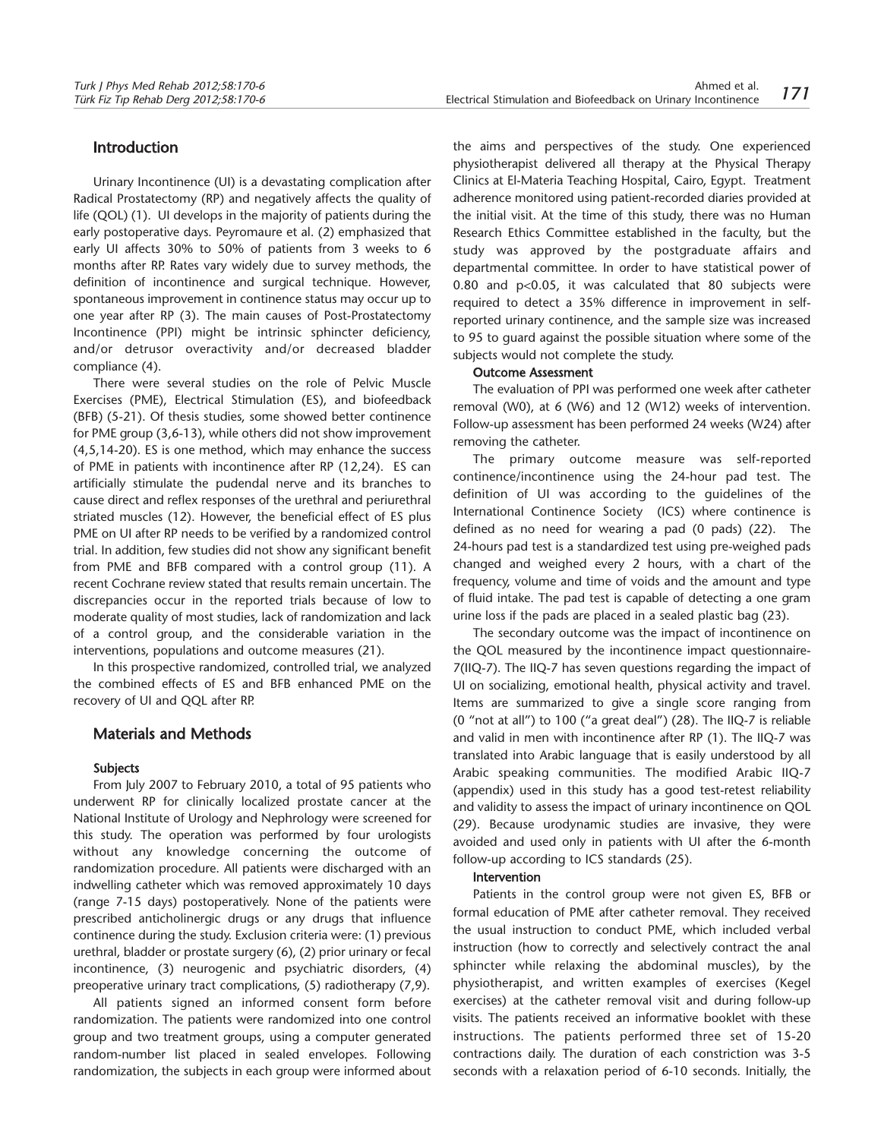#### Introduction

Urinary Incontinence (UI) is a devastating complication after Radical Prostatectomy (RP) and negatively affects the quality of life (QOL) (1). UI develops in the majority of patients during the early postoperative days. Peyromaure et al. (2) emphasized that early UI affects 30% to 50% of patients from 3 weeks to 6 months after RP. Rates vary widely due to survey methods, the definition of incontinence and surgical technique. However, spontaneous improvement in continence status may occur up to one year after RP (3). The main causes of Post-Prostatectomy Incontinence (PPI) might be intrinsic sphincter deficiency, and/or detrusor overactivity and/or decreased bladder compliance (4).

There were several studies on the role of Pelvic Muscle Exercises (PME), Electrical Stimulation (ES), and biofeedback (BFB) (5-21). Of thesis studies, some showed better continence for PME group (3,6-13), while others did not show improvement (4,5,14-20). ES is one method, which may enhance the success of PME in patients with incontinence after RP (12,24). ES can artificially stimulate the pudendal nerve and its branches to cause direct and reflex responses of the urethral and periurethral striated muscles (12). However, the beneficial effect of ES plus PME on UI after RP needs to be verified by a randomized control trial. In addition, few studies did not show any significant benefit from PME and BFB compared with a control group (11). A recent Cochrane review stated that results remain uncertain. The discrepancies occur in the reported trials because of low to moderate quality of most studies, lack of randomization and lack of a control group, and the considerable variation in the interventions, populations and outcome measures (21).

In this prospective randomized, controlled trial, we analyzed the combined effects of ES and BFB enhanced PME on the recovery of UI and QQL after RP.

## Materials and Methods

#### Subjects

From July 2007 to February 2010, a total of 95 patients who underwent RP for clinically localized prostate cancer at the National Institute of Urology and Nephrology were screened for this study. The operation was performed by four urologists without any knowledge concerning the outcome of randomization procedure. All patients were discharged with an indwelling catheter which was removed approximately 10 days (range 7-15 days) postoperatively. None of the patients were prescribed anticholinergic drugs or any drugs that influence continence during the study. Exclusion criteria were: (1) previous urethral, bladder or prostate surgery (6), (2) prior urinary or fecal incontinence, (3) neurogenic and psychiatric disorders, (4) preoperative urinary tract complications, (5) radiotherapy (7,9).

All patients signed an informed consent form before randomization. The patients were randomized into one control group and two treatment groups, using a computer generated random-number list placed in sealed envelopes. Following randomization, the subjects in each group were informed about

the aims and perspectives of the study. One experienced physiotherapist delivered all therapy at the Physical Therapy Clinics at El-Materia Teaching Hospital, Cairo, Egypt. Treatment adherence monitored using patient-recorded diaries provided at the initial visit. At the time of this study, there was no Human Research Ethics Committee established in the faculty, but the study was approved by the postgraduate affairs and departmental committee. In order to have statistical power of 0.80 and p<0.05, it was calculated that 80 subjects were required to detect a 35% difference in improvement in selfreported urinary continence, and the sample size was increased to 95 to guard against the possible situation where some of the subjects would not complete the study.

#### Outcome Assessment

The evaluation of PPI was performed one week after catheter removal (W0), at 6 (W6) and 12 (W12) weeks of intervention. Follow-up assessment has been performed 24 weeks (W24) after removing the catheter.

The primary outcome measure was self-reported continence/incontinence using the 24-hour pad test. The definition of UI was according to the guidelines of the International Continence Society (ICS) where continence is defined as no need for wearing a pad (0 pads) (22). The 24-hours pad test is a standardized test using pre-weighed pads changed and weighed every 2 hours, with a chart of the frequency, volume and time of voids and the amount and type of fluid intake. The pad test is capable of detecting a one gram urine loss if the pads are placed in a sealed plastic bag (23).

The secondary outcome was the impact of incontinence on the QOL measured by the incontinence impact questionnaire-7(IIQ-7). The IIQ-7 has seven questions regarding the impact of UI on socializing, emotional health, physical activity and travel. Items are summarized to give a single score ranging from (0 "not at all") to 100 ("a great deal") (28). The IIQ-7 is reliable and valid in men with incontinence after RP (1). The IIQ-7 was translated into Arabic language that is easily understood by all Arabic speaking communities. The modified Arabic IIQ-7 (appendix) used in this study has a good test-retest reliability and validity to assess the impact of urinary incontinence on QOL (29). Because urodynamic studies are invasive, they were avoided and used only in patients with UI after the 6-month follow-up according to ICS standards (25).

#### Intervention

Patients in the control group were not given ES, BFB or formal education of PME after catheter removal. They received the usual instruction to conduct PME, which included verbal instruction (how to correctly and selectively contract the anal sphincter while relaxing the abdominal muscles), by the physiotherapist, and written examples of exercises (Kegel exercises) at the catheter removal visit and during follow-up visits. The patients received an informative booklet with these instructions. The patients performed three set of 15-20 contractions daily. The duration of each constriction was 3-5 seconds with a relaxation period of 6-10 seconds. Initially, the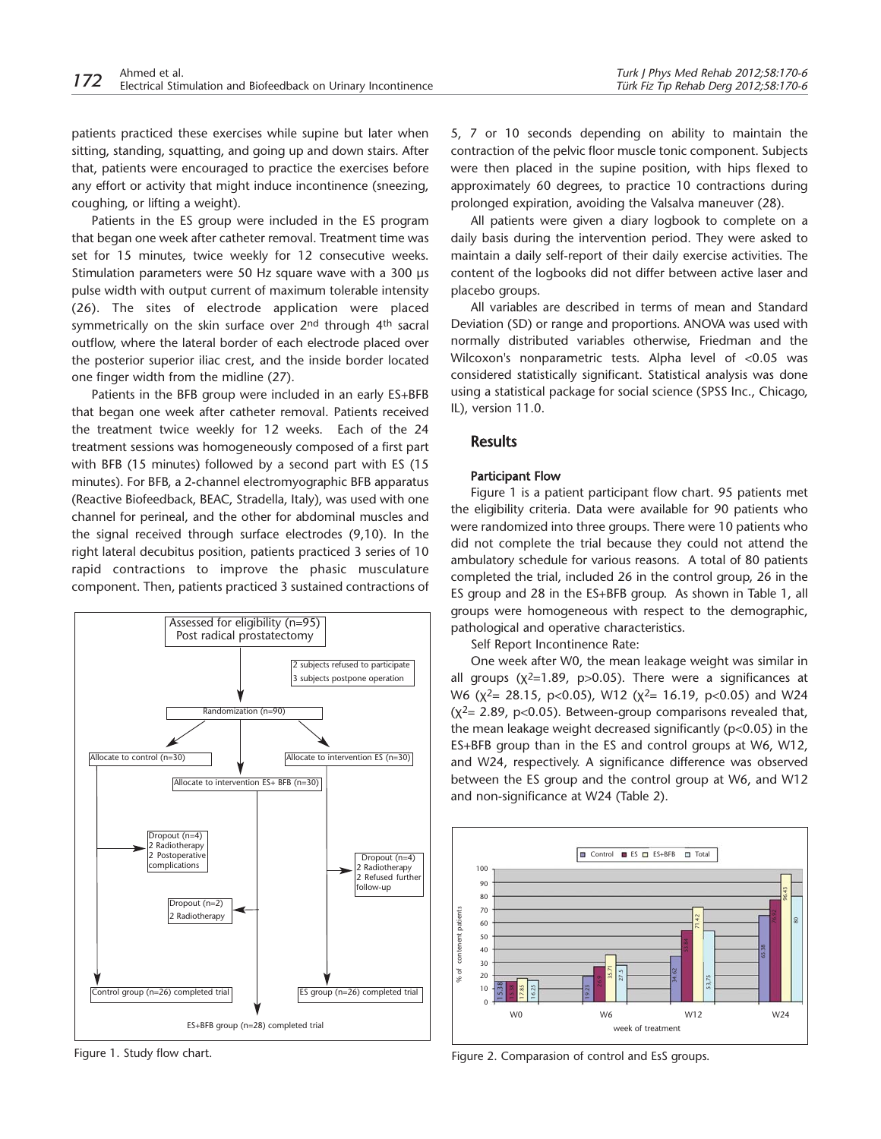patients practiced these exercises while supine but later when sitting, standing, squatting, and going up and down stairs. After that, patients were encouraged to practice the exercises before any effort or activity that might induce incontinence (sneezing, coughing, or lifting a weight).

Patients in the ES group were included in the ES program that began one week after catheter removal. Treatment time was set for 15 minutes, twice weekly for 12 consecutive weeks. Stimulation parameters were 50 Hz square wave with a 300 us pulse width with output current of maximum tolerable intensity (26). The sites of electrode application were placed symmetrically on the skin surface over 2<sup>nd</sup> through 4<sup>th</sup> sacral outflow, where the lateral border of each electrode placed over the posterior superior iliac crest, and the inside border located one finger width from the midline (27).

Patients in the BFB group were included in an early ES+BFB that began one week after catheter removal. Patients received the treatment twice weekly for 12 weeks. Each of the 24 treatment sessions was homogeneously composed of a first part with BFB (15 minutes) followed by a second part with ES (15 minutes). For BFB, a 2-channel electromyographic BFB apparatus (Reactive Biofeedback, BEAC, Stradella, Italy), was used with one channel for perineal, and the other for abdominal muscles and the signal received through surface electrodes (9,10). In the right lateral decubitus position, patients practiced 3 series of 10 rapid contractions to improve the phasic musculature component. Then, patients practiced 3 sustained contractions of



Figure 1. Study flow chart.

5, 7 or 10 seconds depending on ability to maintain the contraction of the pelvic floor muscle tonic component. Subjects were then placed in the supine position, with hips flexed to approximately 60 degrees, to practice 10 contractions during prolonged expiration, avoiding the Valsalva maneuver (28).

All patients were given a diary logbook to complete on a daily basis during the intervention period. They were asked to maintain a daily self-report of their daily exercise activities. The content of the logbooks did not differ between active laser and placebo groups.

All variables are described in terms of mean and Standard Deviation (SD) or range and proportions. ANOVA was used with normally distributed variables otherwise, Friedman and the Wilcoxon's nonparametric tests. Alpha level of <0.05 was considered statistically significant. Statistical analysis was done using a statistical package for social science (SPSS Inc., Chicago, IL), version 11.0.

# **Results**

#### Participant Flow

Figure 1 is a patient participant flow chart. 95 patients met the eligibility criteria. Data were available for 90 patients who were randomized into three groups. There were 10 patients who did not complete the trial because they could not attend the ambulatory schedule for various reasons. A total of 80 patients completed the trial, included 26 in the control group, 26 in the ES group and 28 in the ES+BFB group. As shown in Table 1, all groups were homogeneous with respect to the demographic, pathological and operative characteristics.

Self Report Incontinence Rate:

One week after W0, the mean leakage weight was similar in all groups  $(x^2=1.89, p>0.05)$ . There were a significances at W6 ( $\chi^2$ = 28.15, p<0.05), W12 ( $\chi^2$ = 16.19, p<0.05) and W24  $(x^2= 2.89, p<0.05)$ . Between-group comparisons revealed that, the mean leakage weight decreased significantly (p<0.05) in the ES+BFB group than in the ES and control groups at W6, W12, and W24, respectively. A significance difference was observed between the ES group and the control group at W6, and W12 and non-significance at W24 (Table 2).



Figure 2. Comparasion of control and EsS groups.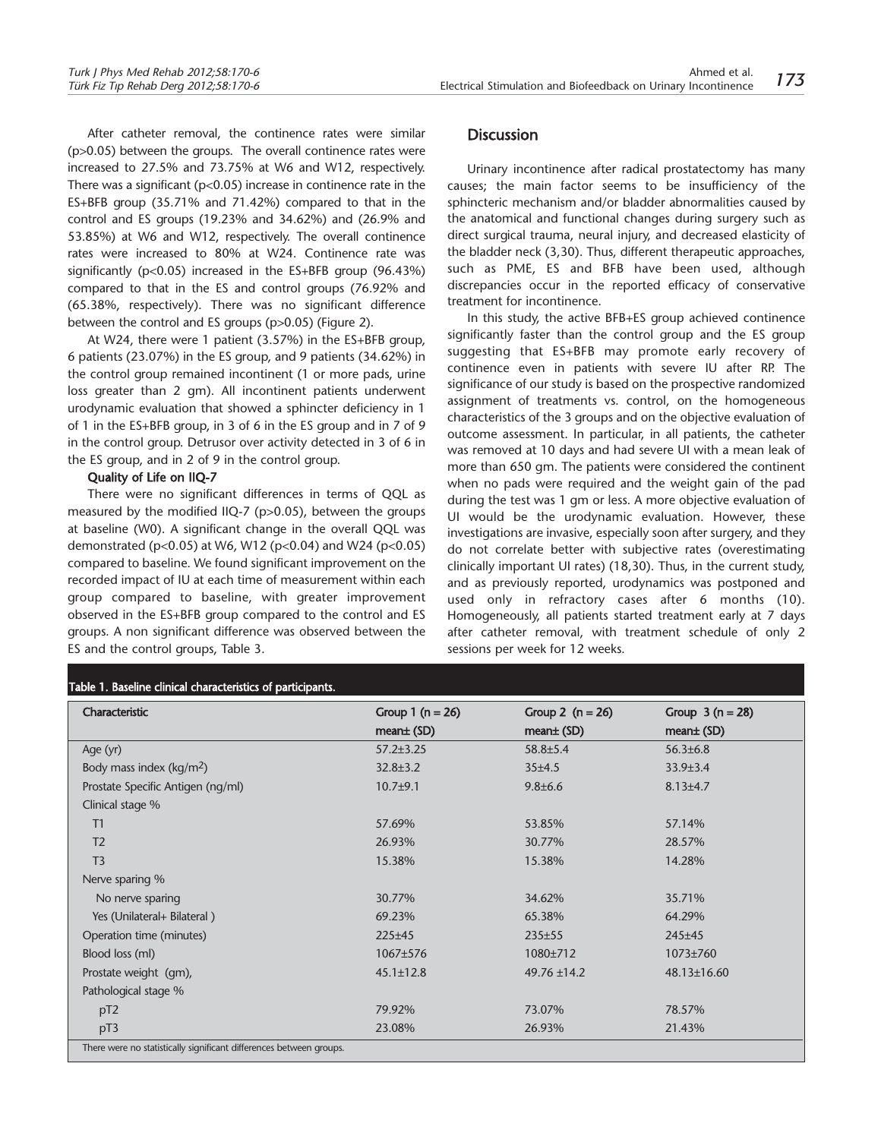After catheter removal, the continence rates were similar (p>0.05) between the groups. The overall continence rates were increased to 27.5% and 73.75% at W6 and W12, respectively. There was a significant ( $p<0.05$ ) increase in continence rate in the ES+BFB group (35.71% and 71.42%) compared to that in the control and ES groups (19.23% and 34.62%) and (26.9% and 53.85%) at W6 and W12, respectively. The overall continence rates were increased to 80% at W24. Continence rate was significantly (p<0.05) increased in the ES+BFB group (96.43%) compared to that in the ES and control groups (76.92% and (65.38%, respectively). There was no significant difference between the control and ES groups (p>0.05) (Figure 2).

At W24, there were 1 patient (3.57%) in the ES+BFB group, 6 patients (23.07%) in the ES group, and 9 patients (34.62%) in the control group remained incontinent (1 or more pads, urine loss greater than 2 gm). All incontinent patients underwent urodynamic evaluation that showed a sphincter deficiency in 1 of 1 in the ES+BFB group, in 3 of 6 in the ES group and in 7 of 9 in the control group. Detrusor over activity detected in 3 of 6 in the ES group, and in 2 of 9 in the control group.

#### Quality of Life on IIQ-7

There were no significant differences in terms of QQL as measured by the modified IIQ-7 (p>0.05), between the groups at baseline (W0). A significant change in the overall QQL was demonstrated (p<0.05) at W6, W12 (p<0.04) and W24 (p<0.05) compared to baseline. We found significant improvement on the recorded impact of IU at each time of measurement within each group compared to baseline, with greater improvement observed in the ES+BFB group compared to the control and ES groups. A non significant difference was observed between the ES and the control groups, Table 3.

# Table 1. Baseline clinical characteristics of participants.

# **Discussion**

Urinary incontinence after radical prostatectomy has many causes; the main factor seems to be insufficiency of the sphincteric mechanism and/or bladder abnormalities caused by the anatomical and functional changes during surgery such as direct surgical trauma, neural injury, and decreased elasticity of the bladder neck (3,30). Thus, different therapeutic approaches, such as PME, ES and BFB have been used, although discrepancies occur in the reported efficacy of conservative treatment for incontinence.

In this study, the active BFB+ES group achieved continence significantly faster than the control group and the ES group suggesting that ES+BFB may promote early recovery of continence even in patients with severe IU after RP. The significance of our study is based on the prospective randomized assignment of treatments vs. control, on the homogeneous characteristics of the 3 groups and on the objective evaluation of outcome assessment. In particular, in all patients, the catheter was removed at 10 days and had severe UI with a mean leak of more than 650 gm. The patients were considered the continent when no pads were required and the weight gain of the pad during the test was 1 gm or less. A more objective evaluation of UI would be the urodynamic evaluation. However, these investigations are invasive, especially soon after surgery, and they do not correlate better with subjective rates (overestimating clinically important UI rates) (18,30). Thus, in the current study, and as previously reported, urodynamics was postponed and used only in refractory cases after 6 months (10). Homogeneously, all patients started treatment early at 7 days after catheter removal, with treatment schedule of only 2 sessions per week for 12 weeks.

|                                                                     | rapic 1. Dascillic cilincar characteristics or participants. |                    |                   |  |  |  |
|---------------------------------------------------------------------|--------------------------------------------------------------|--------------------|-------------------|--|--|--|
| Characteristic                                                      | Group 1 $(n = 26)$                                           | Group 2 $(n = 26)$ | Group $3(n = 28)$ |  |  |  |
|                                                                     | $mean±$ (SD)                                                 | $mean±$ (SD)       | $mean±$ (SD)      |  |  |  |
| Age (yr)                                                            | $57.2 \pm 3.25$                                              | 58.8±5.4           | $56.3 \pm 6.8$    |  |  |  |
| Body mass index $(kg/m2)$                                           | $32.8 \pm 3.2$                                               | 35±4.5             | $33.9 \pm 3.4$    |  |  |  |
| Prostate Specific Antigen (ng/ml)                                   | $10.7 + 9.1$                                                 | $9.8 \pm 6.6$      | $8.13{\pm}4.7$    |  |  |  |
| Clinical stage %                                                    |                                                              |                    |                   |  |  |  |
| T1                                                                  | 57.69%                                                       | 53.85%             | 57.14%            |  |  |  |
| T <sub>2</sub>                                                      | 26.93%                                                       | 30.77%             | 28.57%            |  |  |  |
| T <sub>3</sub>                                                      | 15.38%                                                       | 15.38%             | 14.28%            |  |  |  |
| Nerve sparing %                                                     |                                                              |                    |                   |  |  |  |
| No nerve sparing                                                    | 30.77%                                                       | 34.62%             | 35.71%            |  |  |  |
| Yes (Unilateral+ Bilateral)                                         | 69.23%                                                       | 65.38%             | 64.29%            |  |  |  |
| Operation time (minutes)                                            | $225 \pm 45$                                                 | $235 \pm 55$       | $245 \pm 45$      |  |  |  |
| Blood loss (ml)                                                     | 1067±576                                                     | 1080±712           | 1073±760          |  |  |  |
| Prostate weight (gm),                                               | $45.1 \pm 12.8$                                              | $49.76 \pm 14.2$   | 48.13±16.60       |  |  |  |
| Pathological stage %                                                |                                                              |                    |                   |  |  |  |
| pT2                                                                 | 79.92%                                                       | 73.07%             | 78.57%            |  |  |  |
| pT3                                                                 | 23.08%                                                       | 26.93%             | 21.43%            |  |  |  |
| There were no statistically significant differences between groups. |                                                              |                    |                   |  |  |  |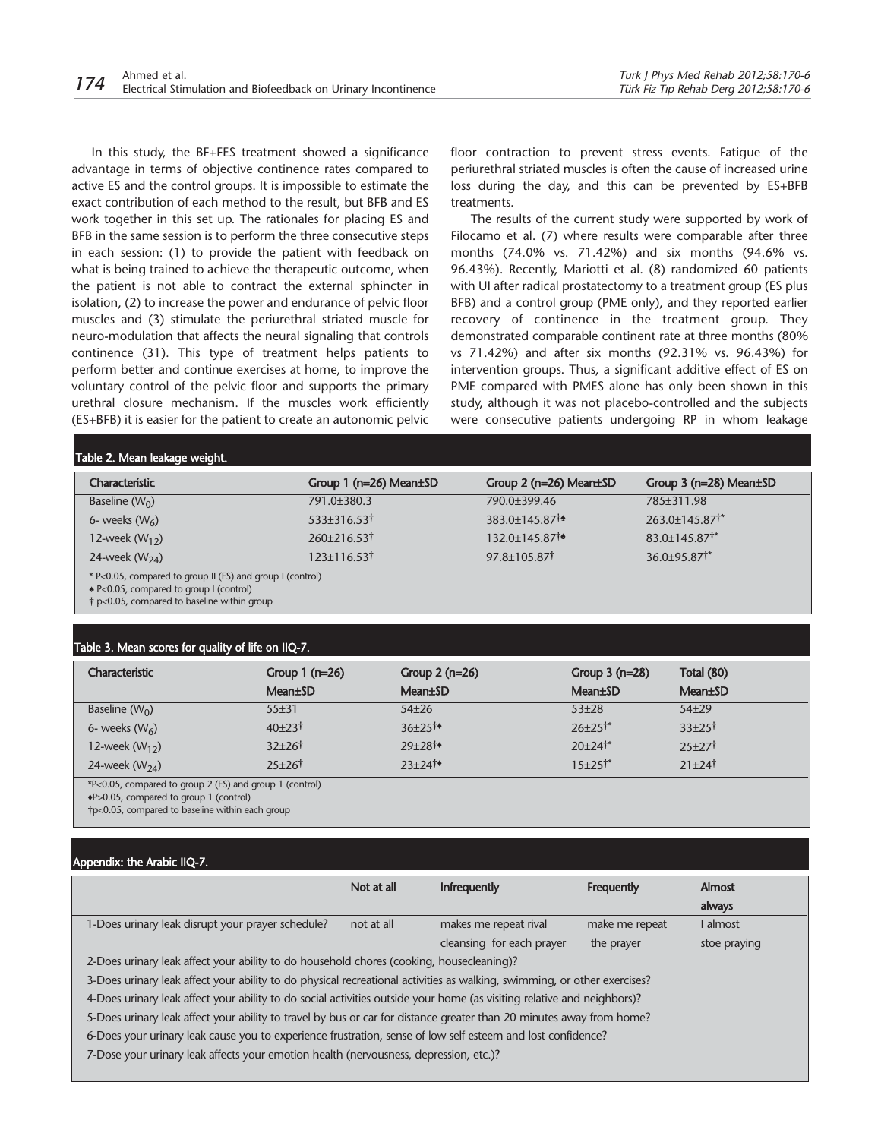In this study, the BF+FES treatment showed a significance advantage in terms of objective continence rates compared to active ES and the control groups. It is impossible to estimate the exact contribution of each method to the result, but BFB and ES work together in this set up. The rationales for placing ES and BFB in the same session is to perform the three consecutive steps in each session: (1) to provide the patient with feedback on what is being trained to achieve the therapeutic outcome, when the patient is not able to contract the external sphincter in isolation, (2) to increase the power and endurance of pelvic floor muscles and (3) stimulate the periurethral striated muscle for neuro-modulation that affects the neural signaling that controls continence (31). This type of treatment helps patients to perform better and continue exercises at home, to improve the voluntary control of the pelvic floor and supports the primary urethral closure mechanism. If the muscles work efficiently (ES+BFB) it is easier for the patient to create an autonomic pelvic floor contraction to prevent stress events. Fatigue of the periurethral striated muscles is often the cause of increased urine loss during the day, and this can be prevented by ES+BFB treatments.

The results of the current study were supported by work of Filocamo et al. (7) where results were comparable after three months (74.0% vs. 71.42%) and six months (94.6% vs. 96.43%). Recently, Mariotti et al. (8) randomized 60 patients with UI after radical prostatectomy to a treatment group (ES plus BFB) and a control group (PME only), and they reported earlier recovery of continence in the treatment group. They demonstrated comparable continent rate at three months (80% vs 71.42%) and after six months (92.31% vs. 96.43%) for intervention groups. Thus, a significant additive effect of ES on PME compared with PMES alone has only been shown in this study, although it was not placebo-controlled and the subjects were consecutive patients undergoing RP in whom leakage

#### Table 2. Mean leakage weight.

| Characteristic                                           | Group $1$ (n=26) Mean $\pm$ SD | Group $2$ (n= $26$ ) Mean $\pm$ SD | Group $3$ (n=28) Mean $\pm$ SD |  |
|----------------------------------------------------------|--------------------------------|------------------------------------|--------------------------------|--|
| Baseline $(W_0)$                                         | 791.0±380.3                    | 790.0+399.46                       | 785±311.98                     |  |
| 6- weeks $(W_6)$                                         | $533\pm316.53^{\dagger}$       | 383.0±145.871*                     | 263.0±145.87 <sup>†*</sup>     |  |
| 12-week $(W_{12})$                                       | 260±216.53†                    | 132.0+145.871*                     | 83.0+145.87 <sup>**</sup>      |  |
| 24-week $(W_{24})$                                       | $123 \pm 116.53^{\dagger}$     | 97.8±105.871                       | $36.0 + 95.87$ <sup>*</sup>    |  |
| * P 0.05 compared to group II (ES) and group I (control) |                                |                                    |                                |  |

\* P<0.05, compared to group II (ES) and group I (control)

*♠* P<0.05, compared to group I (control)

† p<0.05, compared to baseline within group

#### Table 3. Mean scores for quality of life on IIQ-7.

| Characteristic                                          | Group $1$ (n=26)     | Group $2(n=26)$      | Group $3$ (n=28)         | Total (80)             |
|---------------------------------------------------------|----------------------|----------------------|--------------------------|------------------------|
|                                                         | Mean±SD              | <b>Mean</b> ±SD      | <b>Mean</b> ±SD          | Mean±SD                |
| Baseline $(W_0)$                                        | 55±31                | $54\pm26$            | $53 + 28$                | $54 + 29$              |
| 6- weeks $(W_6)$                                        | $40+23$ <sup>†</sup> | $36+25$ <sup>t</sup> | $26 \pm 25$ <sup>*</sup> | $33+25$ <sup>†</sup>   |
| 12-week $(W_{12})$                                      | $32+26$              | $29+28$ <sup>t</sup> | $20+24$ <sup>†*</sup>    | $25+27$                |
| 24-week $(W_{24})$                                      | $25+26$ <sup>†</sup> | $23+24$ <sup>t</sup> | $15+25$ <sup>†*</sup>    | $21 + 24$ <sup>†</sup> |
| *P<0.05, compared to group 2 (ES) and group 1 (control) |                      |                      |                          |                        |

*♦*P>0.05, compared to group 1 (control)

†p<0.05, compared to baseline within each group

#### Appendix: the Arabic IIQ-7.

|                                                                                                                          | Not at all | Infrequently              | Frequently     | Almost       |
|--------------------------------------------------------------------------------------------------------------------------|------------|---------------------------|----------------|--------------|
|                                                                                                                          |            |                           |                | always       |
| 1-Does urinary leak disrupt your prayer schedule?                                                                        | not at all | makes me repeat rival     | make me repeat | I almost     |
|                                                                                                                          |            | cleansing for each prayer | the prayer     | stoe praying |
| 2-Does urinary leak affect your ability to do household chores (cooking, housecleaning)?                                 |            |                           |                |              |
| 3-Does urinary leak affect your ability to do physical recreational activities as walking, swimming, or other exercises? |            |                           |                |              |
| 4-Does urinary leak affect your ability to do social activities outside your home (as visiting relative and neighbors)?  |            |                           |                |              |
| 5-Does urinary leak affect your ability to travel by bus or car for distance greater than 20 minutes away from home?     |            |                           |                |              |
| 6-Does your urinary leak cause you to experience frustration, sense of low self esteem and lost confidence?              |            |                           |                |              |
| 7-Dose your urinary leak affects your emotion health (nervousness, depression, etc.)?                                    |            |                           |                |              |
|                                                                                                                          |            |                           |                |              |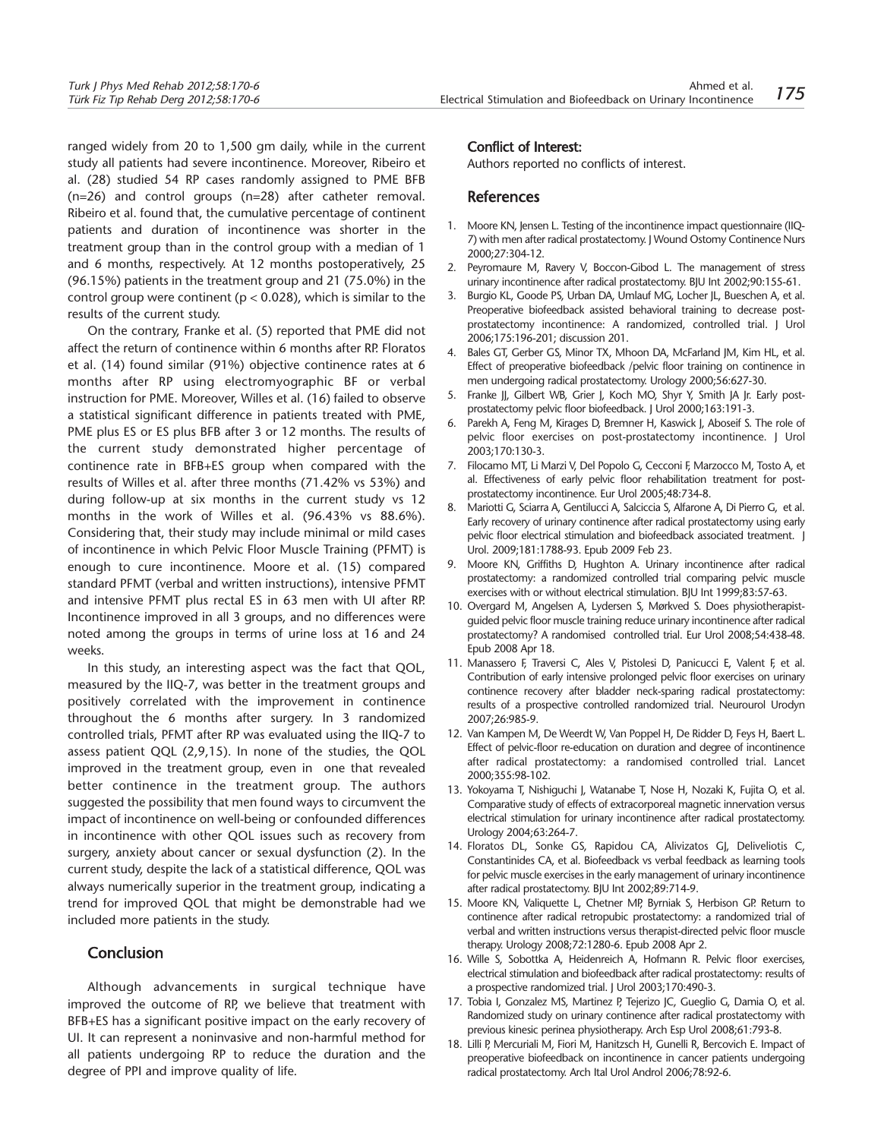ranged widely from 20 to 1,500 gm daily, while in the current study all patients had severe incontinence. Moreover, Ribeiro et al. (28) studied 54 RP cases randomly assigned to PME BFB (n=26) and control groups (n=28) after catheter removal. Ribeiro et al. found that, the cumulative percentage of continent patients and duration of incontinence was shorter in the treatment group than in the control group with a median of 1 and 6 months, respectively. At 12 months postoperatively, 25 (96.15%) patients in the treatment group and 21 (75.0%) in the control group were continent ( $p < 0.028$ ), which is similar to the results of the current study.

On the contrary, Franke et al. (5) reported that PME did not affect the return of continence within 6 months after RP. Floratos et al. (14) found similar (91%) objective continence rates at 6 months after RP using electromyographic BF or verbal instruction for PME. Moreover, Willes et al. (16) failed to observe a statistical significant difference in patients treated with PME, PME plus ES or ES plus BFB after 3 or 12 months. The results of the current study demonstrated higher percentage of continence rate in BFB+ES group when compared with the results of Willes et al. after three months (71.42% vs 53%) and during follow-up at six months in the current study vs 12 months in the work of Willes et al. (96.43% vs 88.6%). Considering that, their study may include minimal or mild cases of incontinence in which Pelvic Floor Muscle Training (PFMT) is enough to cure incontinence. Moore et al. (15) compared standard PFMT (verbal and written instructions), intensive PFMT and intensive PFMT plus rectal ES in 63 men with UI after RP. Incontinence improved in all 3 groups, and no differences were noted among the groups in terms of urine loss at 16 and 24 weeks.

In this study, an interesting aspect was the fact that QOL, measured by the IIQ-7, was better in the treatment groups and positively correlated with the improvement in continence throughout the 6 months after surgery. In 3 randomized controlled trials, PFMT after RP was evaluated using the IIQ-7 to assess patient QQL (2,9,15). In none of the studies, the QOL improved in the treatment group, even in one that revealed better continence in the treatment group. The authors suggested the possibility that men found ways to circumvent the impact of incontinence on well-being or confounded differences in incontinence with other QOL issues such as recovery from surgery, anxiety about cancer or sexual dysfunction (2). In the current study, despite the lack of a statistical difference, QOL was always numerically superior in the treatment group, indicating a trend for improved QOL that might be demonstrable had we included more patients in the study.

## Conclusion

Although advancements in surgical technique have improved the outcome of RP, we believe that treatment with BFB+ES has a significant positive impact on the early recovery of UI. It can represent a noninvasive and non-harmful method for all patients undergoing RP to reduce the duration and the degree of PPI and improve quality of life.

#### Conflict of Interest:

Authors reported no conflicts of interest.

# References

- 1. Moore KN, Jensen L. Testing of the incontinence impact questionnaire (IIQ-7) with men after radical prostatectomy. J Wound Ostomy Continence Nurs 2000;27:304-12.
- 2. Peyromaure M, Ravery V, Boccon-Gibod L. The management of stress urinary incontinence after radical prostatectomy. BJU Int 2002;90:155-61.
- 3. Burgio KL, Goode PS, Urban DA, Umlauf MG, Locher JL, Bueschen A, et al. Preoperative biofeedback assisted behavioral training to decrease postprostatectomy incontinence: A randomized, controlled trial. J Urol 2006;175:196-201; discussion 201.
- 4. Bales GT, Gerber GS, Minor TX, Mhoon DA, McFarland JM, Kim HL, et al. Effect of preoperative biofeedback /pelvic floor training on continence in men undergoing radical prostatectomy. Urology 2000;56:627-30.
- 5. Franke JJ, Gilbert WB, Grier J, Koch MO, Shyr Y, Smith JA Jr. Early postprostatectomy pelvic floor biofeedback. J Urol 2000;163:191-3.
- 6. Parekh A, Feng M, Kirages D, Bremner H, Kaswick J, Aboseif S. The role of pelvic floor exercises on post-prostatectomy incontinence. J Urol 2003;170:130-3.
- 7. Filocamo MT, Li Marzi V, Del Popolo G, Cecconi F, Marzocco M, Tosto A, et al. Effectiveness of early pelvic floor rehabilitation treatment for postprostatectomy incontinence. Eur Urol 2005;48:734-8.
- Mariotti G, Sciarra A, Gentilucci A, Salciccia S, Alfarone A, Di Pierro G, et al. Early recovery of urinary continence after radical prostatectomy using early pelvic floor electrical stimulation and biofeedback associated treatment. J Urol. 2009;181:1788-93. Epub 2009 Feb 23.
- 9. Moore KN, Griffiths D, Hughton A. Urinary incontinence after radical prostatectomy: a randomized controlled trial comparing pelvic muscle exercises with or without electrical stimulation. BJU Int 1999;83:57-63.
- 10. Overgard M, Angelsen A, Lydersen S, Mørkved S. Does physiotherapistguided pelvic floor muscle training reduce urinary incontinence after radical prostatectomy? A randomised controlled trial. Eur Urol 2008;54:438-48. Epub 2008 Apr 18.
- 11. Manassero F, Traversi C, Ales V, Pistolesi D, Panicucci E, Valent F, et al. Contribution of early intensive prolonged pelvic floor exercises on urinary continence recovery after bladder neck-sparing radical prostatectomy: results of a prospective controlled randomized trial. Neurourol Urodyn 2007;26:985-9.
- 12. Van Kampen M, De Weerdt W, Van Poppel H, De Ridder D, Feys H, Baert L. Effect of pelvic-floor re-education on duration and degree of incontinence after radical prostatectomy: a randomised controlled trial. Lancet 2000;355:98-102.
- 13. Yokoyama T, Nishiguchi I, Watanabe T, Nose H, Nozaki K, Fujita O, et al. Comparative study of effects of extracorporeal magnetic innervation versus electrical stimulation for urinary incontinence after radical prostatectomy. Urology 2004;63:264-7.
- 14. Floratos DL, Sonke GS, Rapidou CA, Alivizatos GJ, Deliveliotis C, Constantinides CA, et al. Biofeedback vs verbal feedback as learning tools for pelvic muscle exercises in the early management of urinary incontinence after radical prostatectomy. BJU Int 2002;89:714-9.
- 15. Moore KN, Valiquette L, Chetner MP, Byrniak S, Herbison GP. Return to continence after radical retropubic prostatectomy: a randomized trial of verbal and written instructions versus therapist-directed pelvic floor muscle therapy. Urology 2008;72:1280-6. Epub 2008 Apr 2.
- 16. Wille S, Sobottka A, Heidenreich A, Hofmann R. Pelvic floor exercises, electrical stimulation and biofeedback after radical prostatectomy: results of a prospective randomized trial. J Urol 2003;170:490-3.
- 17. Tobia I, Gonzalez MS, Martinez P, Tejerizo JC, Gueglio G, Damia O, et al. Randomized study on urinary continence after radical prostatectomy with previous kinesic perinea physiotherapy. Arch Esp Urol 2008;61:793-8.
- 18. Lilli P, Mercuriali M, Fiori M, Hanitzsch H, Gunelli R, Bercovich E. Impact of preoperative biofeedback on incontinence in cancer patients undergoing radical prostatectomy. Arch Ital Urol Androl 2006;78:92-6.